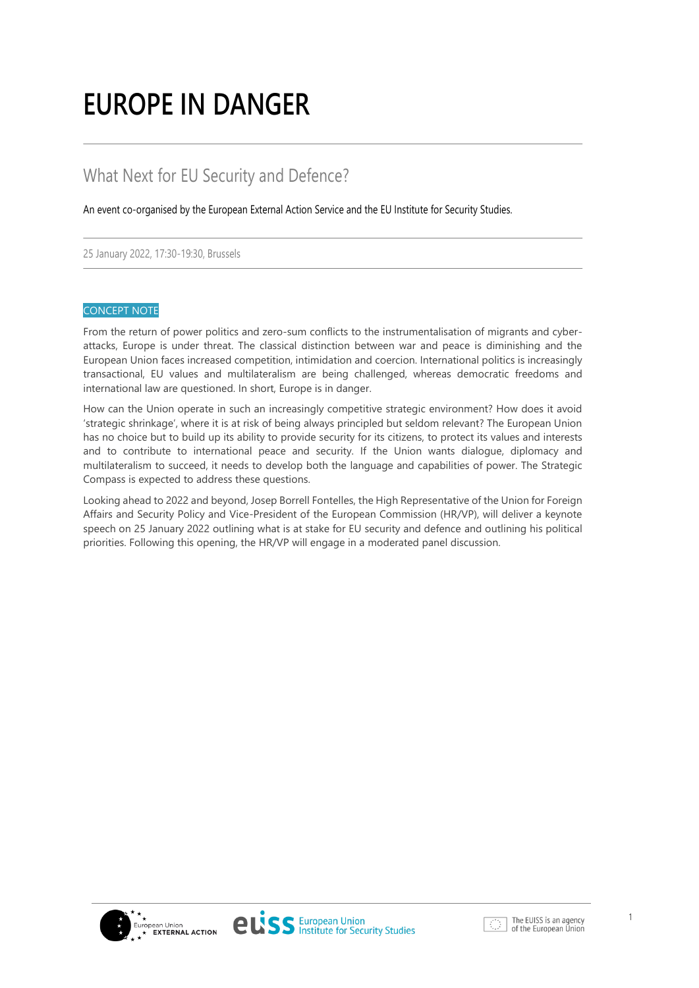# **EUROPE IN DANGER**

# What Next for EU Security and Defence?

An event co-organised by the European External Action Service and the EU Institute for Security Studies.

25 January 2022, 17:30-19:30, Brussels

### CONCEPT NOTE

From the return of power politics and zero-sum conflicts to the instrumentalisation of migrants and cyberattacks, Europe is under threat. The classical distinction between war and peace is diminishing and the European Union faces increased competition, intimidation and coercion. International politics is increasingly transactional, EU values and multilateralism are being challenged, whereas democratic freedoms and international law are questioned. In short, Europe is in danger.

How can the Union operate in such an increasingly competitive strategic environment? How does it avoid 'strategic shrinkage', where it is at risk of being always principled but seldom relevant? The European Union has no choice but to build up its ability to provide security for its citizens, to protect its values and interests and to contribute to international peace and security. If the Union wants dialogue, diplomacy and multilateralism to succeed, it needs to develop both the language and capabilities of power. The Strategic Compass is expected to address these questions.

Looking ahead to 2022 and beyond, Josep Borrell Fontelles, the High Representative of the Union for Foreign Affairs and Security Policy and Vice-President of the European Commission (HR/VP), will deliver a keynote speech on 25 January 2022 outlining what is at stake for EU security and defence and outlining his political priorities. Following this opening, the HR/VP will engage in a moderated panel discussion.